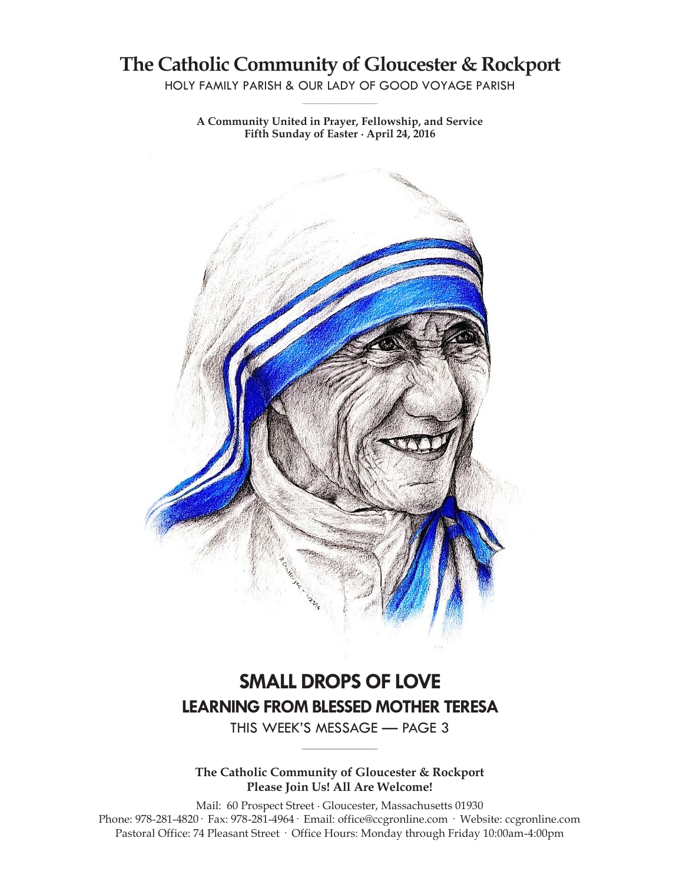# **The Catholic Community of Gloucester & Rockport**

HOLY FAMILY PARISH & OUR LADY OF GOOD VOYAGE PARISH **\_\_\_\_\_\_\_\_\_\_\_\_\_\_\_\_\_\_\_\_\_\_\_\_\_\_\_\_\_**

**A Community United in Prayer, Fellowship, and Service Fifth Sunday of Easter ∙ April 24, 2016**



# **SMALL DROPS OF LOVE LEARNING FROM BLESSED MOTHER TERESA**

THIS WEEK'S MESSAGE — PAGE 3 **\_\_\_\_\_\_\_\_\_\_\_\_\_\_\_\_\_\_\_\_\_\_\_\_\_\_\_\_\_**

**The Catholic Community of Gloucester & Rockport Please Join Us! All Are Welcome!**

Mail: 60 Prospect Street ∙ Gloucester, Massachusetts 01930 Phone: 978-281-4820· Fax: 978-281-4964· Email: office@ccgronline.com · Website: ccgronline.com Pastoral Office: 74 Pleasant Street · Office Hours: Monday through Friday 10:00am-4:00pm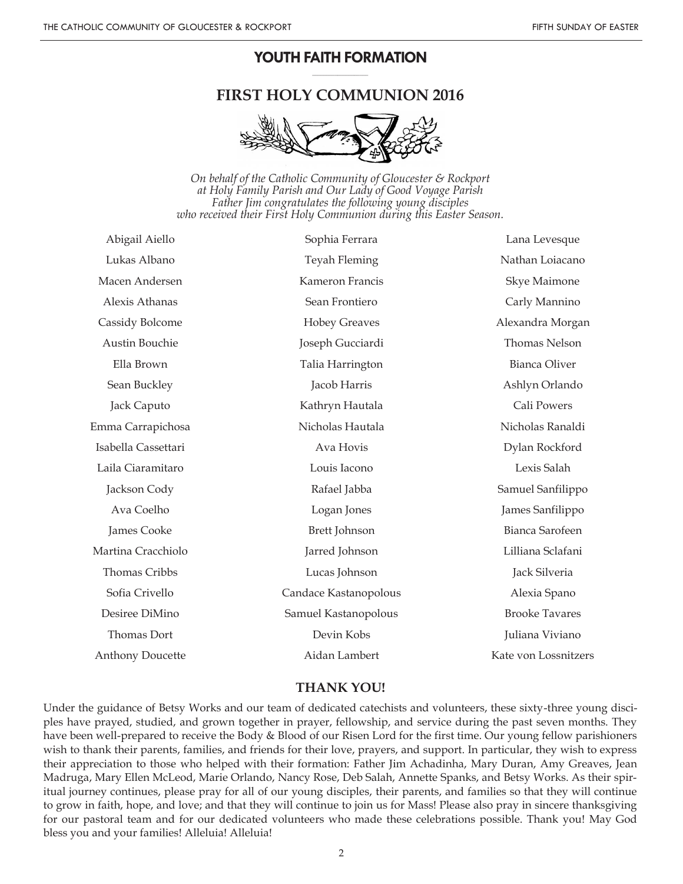## **YOUTH FAITH FORMATION**  $\frac{1}{2}$  ,  $\frac{1}{2}$  ,  $\frac{1}{2}$  ,  $\frac{1}{2}$  ,  $\frac{1}{2}$  ,  $\frac{1}{2}$  ,  $\frac{1}{2}$  ,  $\frac{1}{2}$  ,  $\frac{1}{2}$  ,  $\frac{1}{2}$  ,  $\frac{1}{2}$

# **FIRST HOLY COMMUNION 2016**



*On behalf of the Catholic Community of Gloucester & Rockport at Holy Family Parish and Our Lady of Good Voyage Parish Father Jim congratulates the following young disciples who received their First Holy Communion during this Easter Season.*

| Abigail Aiello          | Sophia Ferrara        | Lana Levesque         |
|-------------------------|-----------------------|-----------------------|
| Lukas Albano            | Teyah Fleming         | Nathan Loiacano       |
| Macen Andersen          | Kameron Francis       | Skye Maimone          |
| Alexis Athanas          | Sean Frontiero        | Carly Mannino         |
| Cassidy Bolcome         | <b>Hobey Greaves</b>  | Alexandra Morgan      |
| Austin Bouchie          | Joseph Gucciardi      | <b>Thomas Nelson</b>  |
| Ella Brown              | Talia Harrington      | Bianca Oliver         |
| Sean Buckley            | Jacob Harris          | Ashlyn Orlando        |
| Jack Caputo             | Kathryn Hautala       | Cali Powers           |
| Emma Carrapichosa       | Nicholas Hautala      | Nicholas Ranaldi      |
| Isabella Cassettari     | Ava Hovis             | Dylan Rockford        |
| Laila Ciaramitaro       | Louis Iacono          | Lexis Salah           |
| Jackson Cody            | Rafael Jabba          | Samuel Sanfilippo     |
| Ava Coelho              | Logan Jones           | James Sanfilippo      |
| James Cooke             | Brett Johnson         | Bianca Sarofeen       |
| Martina Cracchiolo      | Jarred Johnson        | Lilliana Sclafani     |
| Thomas Cribbs           | Lucas Johnson         | Jack Silveria         |
| Sofia Crivello          | Candace Kastanopolous | Alexia Spano          |
| Desiree DiMino          | Samuel Kastanopolous  | <b>Brooke Tavares</b> |
| Thomas Dort             | Devin Kobs            | Juliana Viviano       |
| <b>Anthony Doucette</b> | Aidan Lambert         | Kate von Lossnitzers  |

## **THANK YOU!**

Under the guidance of Betsy Works and our team of dedicated catechists and volunteers, these sixty-three young disciples have prayed, studied, and grown together in prayer, fellowship, and service during the past seven months. They have been well-prepared to receive the Body & Blood of our Risen Lord for the first time. Our young fellow parishioners wish to thank their parents, families, and friends for their love, prayers, and support. In particular, they wish to express their appreciation to those who helped with their formation: Father Jim Achadinha, Mary Duran, Amy Greaves, Jean Madruga, Mary Ellen McLeod, Marie Orlando, Nancy Rose, Deb Salah, Annette Spanks, and Betsy Works. As their spiritual journey continues, please pray for all of our young disciples, their parents, and families so that they will continue to grow in faith, hope, and love; and that they will continue to join us for Mass! Please also pray in sincere thanksgiving for our pastoral team and for our dedicated volunteers who made these celebrations possible. Thank you! May God bless you and your families! Alleluia! Alleluia!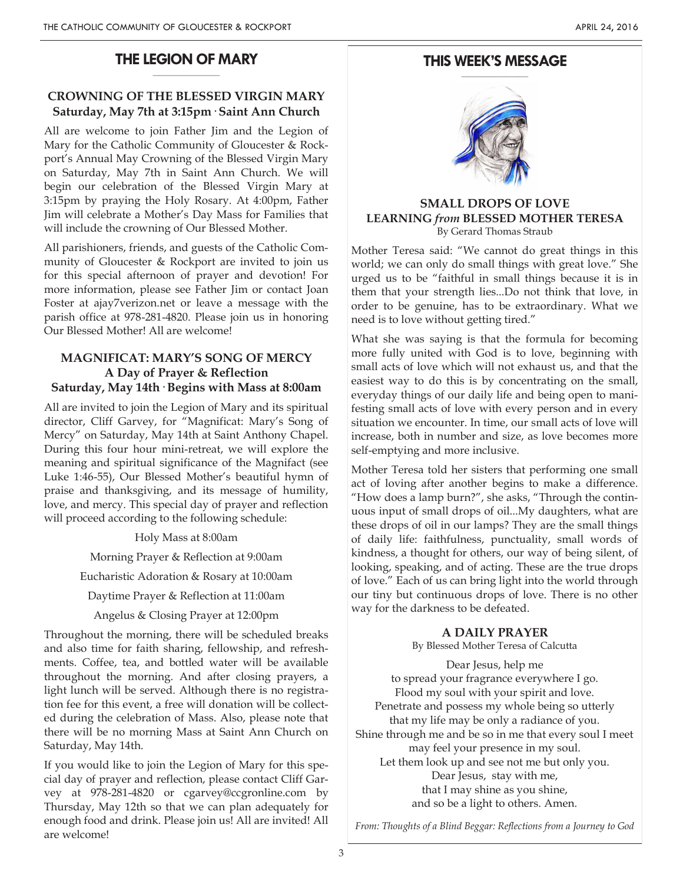#### **THE LEGION OF MARY \_\_\_\_\_\_\_\_\_\_\_\_\_\_\_\_\_\_\_\_**

# **CROWNING OF THE BLESSED VIRGIN MARY Saturday, May 7th at 3:15pm· Saint Ann Church**

All are welcome to join Father Jim and the Legion of Mary for the Catholic Community of Gloucester & Rockport's Annual May Crowning of the Blessed Virgin Mary on Saturday, May 7th in Saint Ann Church. We will begin our celebration of the Blessed Virgin Mary at 3:15pm by praying the Holy Rosary. At 4:00pm, Father Jim will celebrate a Mother's Day Mass for Families that will include the crowning of Our Blessed Mother.

All parishioners, friends, and guests of the Catholic Community of Gloucester & Rockport are invited to join us for this special afternoon of prayer and devotion! For more information, please see Father Jim or contact Joan Foster at ajay7verizon.net or leave a message with the parish office at 978-281-4820. Please join us in honoring Our Blessed Mother! All are welcome!

## **MAGNIFICAT: MARY'S SONG OF MERCY A Day of Prayer & Reflection Saturday, May 14th· Begins with Mass at 8:00am**

All are invited to join the Legion of Mary and its spiritual director, Cliff Garvey, for "Magnificat: Mary's Song of Mercy" on Saturday, May 14th at Saint Anthony Chapel. During this four hour mini-retreat, we will explore the meaning and spiritual significance of the Magnifact (see Luke 1:46-55), Our Blessed Mother's beautiful hymn of praise and thanksgiving, and its message of humility, love, and mercy. This special day of prayer and reflection will proceed according to the following schedule:

Holy Mass at 8:00am

Morning Prayer & Reflection at 9:00am

Eucharistic Adoration & Rosary at 10:00am

Daytime Prayer & Reflection at 11:00am

Angelus & Closing Prayer at 12:00pm

Throughout the morning, there will be scheduled breaks and also time for faith sharing, fellowship, and refreshments. Coffee, tea, and bottled water will be available throughout the morning. And after closing prayers, a light lunch will be served. Although there is no registration fee for this event, a free will donation will be collected during the celebration of Mass. Also, please note that there will be no morning Mass at Saint Ann Church on Saturday, May 14th.

If you would like to join the Legion of Mary for this special day of prayer and reflection, please contact Cliff Garvey at 978-281-4820 or cgarvey@ccgronline.com by Thursday, May 12th so that we can plan adequately for enough food and drink. Please join us! All are invited! All are welcome!

#### **THIS WEEK'S MESSAGE \_\_\_\_\_\_\_\_\_\_\_\_\_\_\_\_\_\_\_\_**



## **SMALL DROPS OF LOVE LEARNING** *from* **BLESSED MOTHER TERESA** By Gerard Thomas Straub

Mother Teresa said: "We cannot do great things in this world; we can only do small things with great love." She urged us to be "faithful in small things because it is in them that your strength lies...Do not think that love, in order to be genuine, has to be extraordinary. What we need is to love without getting tired."

What she was saying is that the formula for becoming more fully united with God is to love, beginning with small acts of love which will not exhaust us, and that the easiest way to do this is by concentrating on the small, everyday things of our daily life and being open to manifesting small acts of love with every person and in every situation we encounter. In time, our small acts of love will increase, both in number and size, as love becomes more self-emptying and more inclusive.

Mother Teresa told her sisters that performing one small act of loving after another begins to make a difference. "How does a lamp burn?", she asks, "Through the continuous input of small drops of oil...My daughters, what are these drops of oil in our lamps? They are the small things of daily life: faithfulness, punctuality, small words of kindness, a thought for others, our way of being silent, of looking, speaking, and of acting. These are the true drops of love." Each of us can bring light into the world through our tiny but continuous drops of love. There is no other way for the darkness to be defeated.

## **A DAILY PRAYER**

By Blessed Mother Teresa of Calcutta

Dear Jesus, help me to spread your fragrance everywhere I go. Flood my soul with your spirit and love. Penetrate and possess my whole being so utterly that my life may be only a radiance of you. Shine through me and be so in me that every soul I meet may feel your presence in my soul. Let them look up and see not me but only you. Dear Jesus, stay with me, that I may shine as you shine, and so be a light to others. Amen.

*From: Thoughts of a Blind Beggar: Reflections from a Journey to God*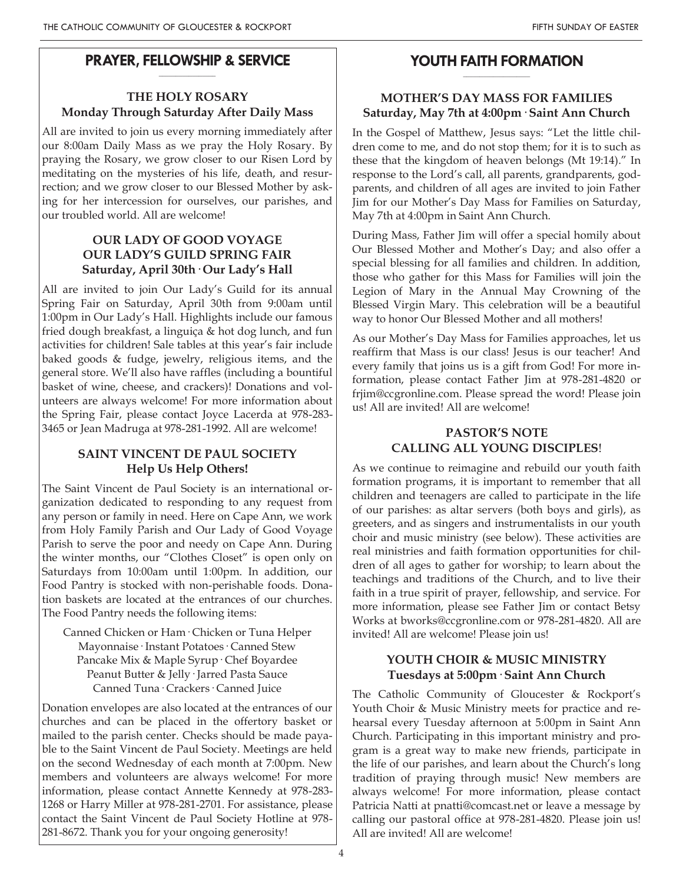#### **PRAYER, FELLOWSHIP & SERVICE \_\_\_\_\_\_\_\_\_\_\_\_\_\_\_\_\_**

# **THE HOLY ROSARY Monday Through Saturday After Daily Mass**

All are invited to join us every morning immediately after our 8:00am Daily Mass as we pray the Holy Rosary. By praying the Rosary, we grow closer to our Risen Lord by meditating on the mysteries of his life, death, and resurrection; and we grow closer to our Blessed Mother by asking for her intercession for ourselves, our parishes, and our troubled world. All are welcome!

# **OUR LADY OF GOOD VOYAGE OUR LADY'S GUILD SPRING FAIR Saturday, April 30th· Our Lady's Hall**

All are invited to join Our Lady's Guild for its annual Spring Fair on Saturday, April 30th from 9:00am until 1:00pm in Our Lady's Hall. Highlights include our famous fried dough breakfast, a linguiça & hot dog lunch, and fun activities for children! Sale tables at this year's fair include baked goods & fudge, jewelry, religious items, and the general store. We'll also have raffles (including a bountiful basket of wine, cheese, and crackers)! Donations and volunteers are always welcome! For more information about the Spring Fair, please contact Joyce Lacerda at 978-283- 3465 or Jean Madruga at 978-281-1992. All are welcome!

# **SAINT VINCENT DE PAUL SOCIETY Help Us Help Others!**

The Saint Vincent de Paul Society is an international organization dedicated to responding to any request from any person or family in need. Here on Cape Ann, we work from Holy Family Parish and Our Lady of Good Voyage Parish to serve the poor and needy on Cape Ann. During the winter months, our "Clothes Closet" is open only on Saturdays from 10:00am until 1:00pm. In addition, our Food Pantry is stocked with non-perishable foods. Donation baskets are located at the entrances of our churches. The Food Pantry needs the following items:

Canned Chicken or Ham· Chicken or Tuna Helper Mayonnaise· Instant Potatoes· Canned Stew Pancake Mix & Maple Syrup· Chef Boyardee Peanut Butter & Jelly· Jarred Pasta Sauce Canned Tuna· Crackers· Canned Juice

Donation envelopes are also located at the entrances of our churches and can be placed in the offertory basket or mailed to the parish center. Checks should be made payable to the Saint Vincent de Paul Society. Meetings are held on the second Wednesday of each month at 7:00pm. New members and volunteers are always welcome! For more information, please contact Annette Kennedy at 978-283- 1268 or Harry Miller at 978-281-2701. For assistance, please contact the Saint Vincent de Paul Society Hotline at 978- 281-8672. Thank you for your ongoing generosity!

#### **YOUTH FAITH FORMATION \_\_\_\_\_\_\_\_\_\_\_\_\_\_\_\_\_\_\_\_**

# **MOTHER'S DAY MASS FOR FAMILIES Saturday, May 7th at 4:00pm· Saint Ann Church**

In the Gospel of Matthew, Jesus says: "Let the little children come to me, and do not stop them; for it is to such as these that the kingdom of heaven belongs (Mt 19:14)." In response to the Lord's call, all parents, grandparents, godparents, and children of all ages are invited to join Father Jim for our Mother's Day Mass for Families on Saturday, May 7th at 4:00pm in Saint Ann Church.

During Mass, Father Jim will offer a special homily about Our Blessed Mother and Mother's Day; and also offer a special blessing for all families and children. In addition, those who gather for this Mass for Families will join the Legion of Mary in the Annual May Crowning of the Blessed Virgin Mary. This celebration will be a beautiful way to honor Our Blessed Mother and all mothers!

As our Mother's Day Mass for Families approaches, let us reaffirm that Mass is our class! Jesus is our teacher! And every family that joins us is a gift from God! For more information, please contact Father Jim at 978-281-4820 or frjim@ccgronline.com. Please spread the word! Please join us! All are invited! All are welcome!

# **PASTOR'S NOTE CALLING ALL YOUNG DISCIPLES**!

As we continue to reimagine and rebuild our youth faith formation programs, it is important to remember that all children and teenagers are called to participate in the life of our parishes: as altar servers (both boys and girls), as greeters, and as singers and instrumentalists in our youth choir and music ministry (see below). These activities are real ministries and faith formation opportunities for children of all ages to gather for worship; to learn about the teachings and traditions of the Church, and to live their faith in a true spirit of prayer, fellowship, and service. For more information, please see Father Jim or contact Betsy Works at bworks@ccgronline.com or 978-281-4820. All are invited! All are welcome! Please join us!

# **YOUTH CHOIR & MUSIC MINISTRY Tuesdays at 5:00pm· Saint Ann Church**

The Catholic Community of Gloucester & Rockport's Youth Choir & Music Ministry meets for practice and rehearsal every Tuesday afternoon at 5:00pm in Saint Ann Church. Participating in this important ministry and program is a great way to make new friends, participate in the life of our parishes, and learn about the Church's long tradition of praying through music! New members are always welcome! For more information, please contact Patricia Natti at pnatti@comcast.net or leave a message by calling our pastoral office at 978-281-4820. Please join us! All are invited! All are welcome!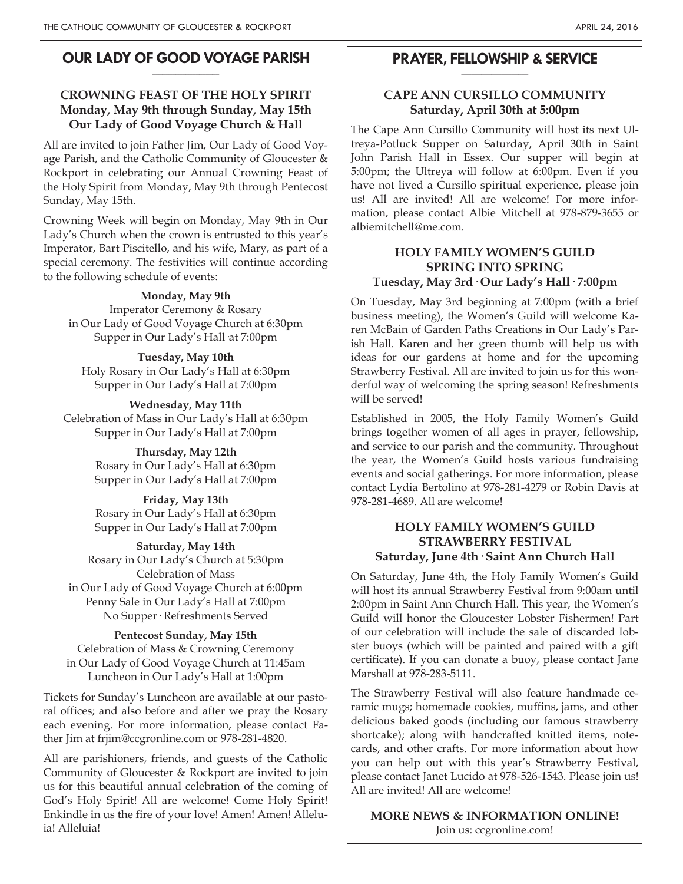#### **OUR LADY OF GOOD VOYAGE PARISH \_\_\_\_\_\_\_\_\_\_\_\_\_\_\_\_\_\_\_\_**

# **CROWNING FEAST OF THE HOLY SPIRIT Monday, May 9th through Sunday, May 15th Our Lady of Good Voyage Church & Hall**

All are invited to join Father Jim, Our Lady of Good Voyage Parish, and the Catholic Community of Gloucester & Rockport in celebrating our Annual Crowning Feast of the Holy Spirit from Monday, May 9th through Pentecost Sunday, May 15th.

Crowning Week will begin on Monday, May 9th in Our Lady's Church when the crown is entrusted to this year's Imperator, Bart Piscitello, and his wife, Mary, as part of a special ceremony. The festivities will continue according to the following schedule of events:

## **Monday, May 9th**

Imperator Ceremony & Rosary in Our Lady of Good Voyage Church at 6:30pm Supper in Our Lady's Hall at 7:00pm

**Tuesday, May 10th** Holy Rosary in Our Lady's Hall at 6:30pm Supper in Our Lady's Hall at 7:00pm

**Wednesday, May 11th** Celebration of Mass in Our Lady's Hall at 6:30pm Supper in Our Lady's Hall at 7:00pm

> **Thursday, May 12th** Rosary in Our Lady's Hall at 6:30pm Supper in Our Lady's Hall at 7:00pm

> **Friday, May 13th** Rosary in Our Lady's Hall at 6:30pm Supper in Our Lady's Hall at 7:00pm

## **Saturday, May 14th**

Rosary in Our Lady's Church at 5:30pm Celebration of Mass in Our Lady of Good Voyage Church at 6:00pm Penny Sale in Our Lady's Hall at 7:00pm No Supper· Refreshments Served

#### **Pentecost Sunday, May 15th**

Celebration of Mass & Crowning Ceremony in Our Lady of Good Voyage Church at 11:45am Luncheon in Our Lady's Hall at 1:00pm

Tickets for Sunday's Luncheon are available at our pastoral offices; and also before and after we pray the Rosary each evening. For more information, please contact Father Jim at frjim@ccgronline.com or 978-281-4820.

All are parishioners, friends, and guests of the Catholic Community of Gloucester & Rockport are invited to join us for this beautiful annual celebration of the coming of God's Holy Spirit! All are welcome! Come Holy Spirit! Enkindle in us the fire of your love! Amen! Amen! Alleluia! Alleluia!

#### **PRAYER, FELLOWSHIP & SERVICE \_\_\_\_\_\_\_\_\_\_\_\_\_\_\_\_\_\_\_\_**

## **CAPE ANN CURSILLO COMMUNITY Saturday, April 30th at 5:00pm**

The Cape Ann Cursillo Community will host its next Ultreya-Potluck Supper on Saturday, April 30th in Saint John Parish Hall in Essex. Our supper will begin at 5:00pm; the Ultreya will follow at 6:00pm. Even if you have not lived a Cursillo spiritual experience, please join us! All are invited! All are welcome! For more information, please contact Albie Mitchell at 978-879-3655 or albiemitchell@me.com.

# **HOLY FAMILY WOMEN'S GUILD SPRING INTO SPRING Tuesday, May 3rd· Our Lady's Hall· 7:00pm**

On Tuesday, May 3rd beginning at 7:00pm (with a brief business meeting), the Women's Guild will welcome Karen McBain of Garden Paths Creations in Our Lady's Parish Hall. Karen and her green thumb will help us with ideas for our gardens at home and for the upcoming Strawberry Festival. All are invited to join us for this wonderful way of welcoming the spring season! Refreshments will be served!

Established in 2005, the Holy Family Women's Guild brings together women of all ages in prayer, fellowship, and service to our parish and the community. Throughout the year, the Women's Guild hosts various fundraising events and social gatherings. For more information, please contact Lydia Bertolino at 978-281-4279 or Robin Davis at 978-281-4689. All are welcome!

## **HOLY FAMILY WOMEN'S GUILD STRAWBERRY FESTIVAL Saturday, June 4th· Saint Ann Church Hall**

On Saturday, June 4th, the Holy Family Women's Guild will host its annual Strawberry Festival from 9:00am until 2:00pm in Saint Ann Church Hall. This year, the Women's Guild will honor the Gloucester Lobster Fishermen! Part of our celebration will include the sale of discarded lobster buoys (which will be painted and paired with a gift certificate). If you can donate a buoy, please contact Jane Marshall at 978-283-5111.

The Strawberry Festival will also feature handmade ceramic mugs; homemade cookies, muffins, jams, and other delicious baked goods (including our famous strawberry shortcake); along with handcrafted knitted items, notecards, and other crafts. For more information about how you can help out with this year's Strawberry Festival, please contact Janet Lucido at 978-526-1543. Please join us! All are invited! All are welcome!

**MORE NEWS & INFORMATION ONLINE!** Join us: ccgronline.com!